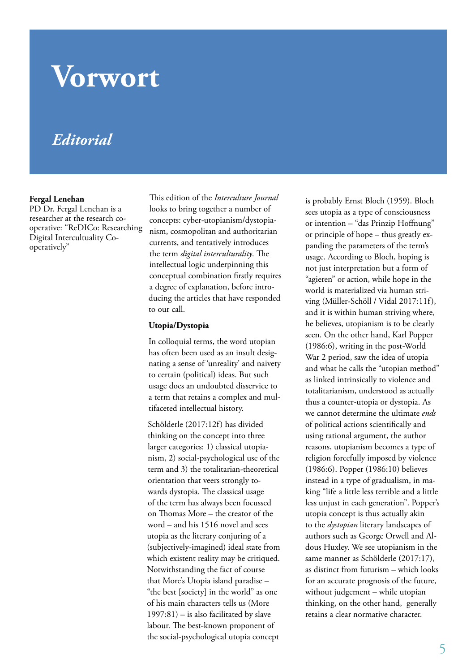# **Vorwort**

# *Editorial*

#### **Fergal Lenehan**

PD Dr. Fergal Lenehan is a researcher at the research cooperative: "ReDICo: Researching Digital Intercultuality Cooperatively"

This edition of the *Interculture Journal* looks to bring together a number of concepts: cyber-utopianism/dystopianism, cosmopolitan and authoritarian currents, and tentatively introduces the term *digital interculturality*. The intellectual logic underpinning this conceptual combination firstly requires a degree of explanation, before introducing the articles that have responded to our call.

#### **Utopia/Dystopia**

In colloquial terms, the word utopian has often been used as an insult designating a sense of 'unreality' and naivety to certain (political) ideas. But such usage does an undoubted disservice to a term that retains a complex and multifaceted intellectual history.

Schölderle (2017:12f) has divided thinking on the concept into three larger categories: 1) classical utopianism, 2) social-psychological use of the term and 3) the totalitarian-theoretical orientation that veers strongly towards dystopia. The classical usage of the term has always been focussed on Thomas More – the creator of the word – and his 1516 novel and sees utopia as the literary conjuring of a (subjectively-imagined) ideal state from which existent reality may be critiqued. Notwithstanding the fact of course that More's Utopia island paradise – "the best [society] in the world" as one of his main characters tells us (More 1997:81) – is also facilitated by slave labour. The best-known proponent of the social-psychological utopia concept

is probably Ernst Bloch (1959). Bloch sees utopia as a type of consciousness or intention – "das Prinzip Hoffnung" or principle of hope – thus greatly expanding the parameters of the term's usage. According to Bloch, hoping is not just interpretation but a form of "agieren" or action, while hope in the world is materialized via human striving (Müller-Schöll / Vidal 2017:11f), and it is within human striving where, he believes, utopianism is to be clearly seen. On the other hand, Karl Popper (1986:6), writing in the post-World War 2 period, saw the idea of utopia and what he calls the "utopian method" as linked intrinsically to violence and totalitarianism, understood as actually thus a counter-utopia or dystopia. As we cannot determine the ultimate *ends* of political actions scientifically and using rational argument, the author reasons, utopianism becomes a type of religion forcefully imposed by violence (1986:6). Popper (1986:10) believes instead in a type of gradualism, in making "life a little less terrible and a little less unjust in each generation". Popper's utopia concept is thus actually akin to the *dystopian* literary landscapes of authors such as George Orwell and Aldous Huxley. We see utopianism in the same manner as Schölderle (2017:17), as distinct from futurism – which looks for an accurate prognosis of the future, without judgement – while utopian thinking, on the other hand, generally retains a clear normative character.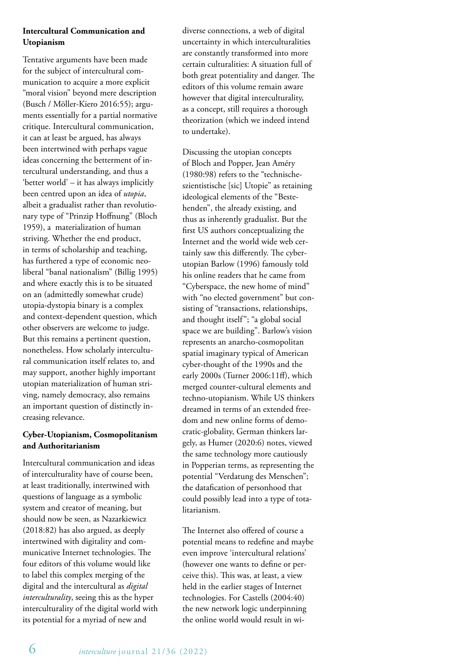### **Intercultural Communication and Utopianism**

Tentative arguments have been made for the subject of intercultural communication to acquire a more explicit "moral vision" beyond mere description (Busch / Möller-Kiero 2016:55); arguments essentially for a partial normative critique. Intercultural communication, it can at least be argued, has always been intertwined with perhaps vague ideas concerning the betterment of intercultural understanding, and thus a 'better world' – it has always implicitly been centred upon an idea of *utopia*, albeit a gradualist rather than revolutionary type of "Prinzip Hoffnung" (Bloch 1959), a materialization of human striving. Whether the end product, in terms of scholarship and teaching, has furthered a type of economic neoliberal "banal nationalism" (Billig 1995) and where exactly this is to be situated on an (admittedly somewhat crude) utopia-dystopia binary is a complex and context-dependent question, which other observers are welcome to judge. But this remains a pertinent question, nonetheless. How scholarly intercultural communication itself relates to, and may support, another highly important utopian materialization of human striving, namely democracy, also remains an important question of distinctly increasing relevance.

### **Cyber-Utopianism, Cosmopolitanism and Authoritarianism**

Intercultural communication and ideas of interculturality have of course been, at least traditionally, intertwined with questions of language as a symbolic system and creator of meaning, but should now be seen, as Nazarkiewicz (2018:82) has also argued, as deeply intertwined with digitality and communicative Internet technologies. The four editors of this volume would like to label this complex merging of the digital and the intercultural as *digital interculturality*, seeing this as the hyper interculturality of the digital world with its potential for a myriad of new and

diverse connections, a web of digital uncertainty in which interculturalities are constantly transformed into more certain culturalities: A situation full of both great potentiality and danger. The editors of this volume remain aware however that digital interculturality, as a concept, still requires a thorough theorization (which we indeed intend to undertake).

Discussing the utopian concepts of Bloch and Popper, Jean Améry (1980:98) refers to the "technischeszientistische [sic] Utopie" as retaining ideological elements of the "Bestehenden", the already existing, and thus as inherently gradualist. But the first US authors conceptualizing the Internet and the world wide web certainly saw this differently. The cyberutopian Barlow (1996) famously told his online readers that he came from "Cyberspace, the new home of mind" with "no elected government" but consisting of "transactions, relationships, and thought itself"; "a global social space we are building". Barlow's vision represents an anarcho-cosmopolitan spatial imaginary typical of American cyber-thought of the 1990s and the early 2000s (Turner 2006:11ff), which merged counter-cultural elements and techno-utopianism. While US thinkers dreamed in terms of an extended freedom and new online forms of democratic-globality, German thinkers largely, as Humer (2020:6) notes, viewed the same technology more cautiously in Popperian terms, as representing the potential "Verdatung des Menschen"; the datafication of personhood that could possibly lead into a type of totalitarianism.

The Internet also offered of course a potential means to redefine and maybe even improve 'intercultural relations' (however one wants to define or perceive this). This was, at least, a view held in the earlier stages of Internet technologies. For Castells (2004:40) the new network logic underpinning the online world would result in wi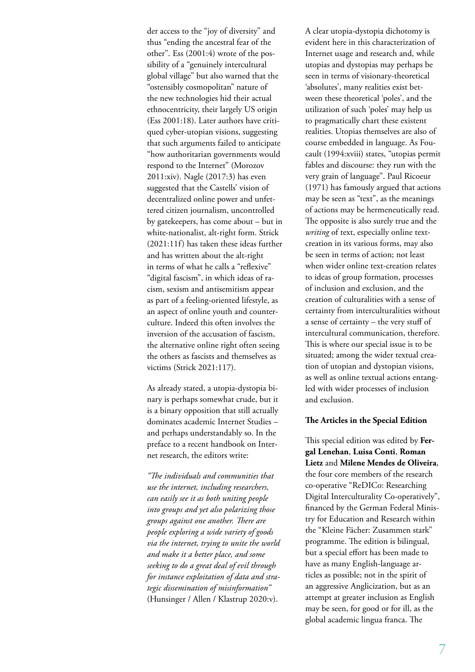der access to the "joy of diversity" and thus "ending the ancestral fear of the other". Ess (2001:4) wrote of the possibility of a "genuinely intercultural global village" but also warned that the "ostensibly cosmopolitan" nature of the new technologies hid their actual ethnocentricity, their largely US origin (Ess 2001:18). Later authors have critiqued cyber-utopian visions, suggesting that such arguments failed to anticipate "how authoritarian governments would respond to the Internet" (Morozov 2011:xiv). Nagle (2017:3) has even suggested that the Castells' vision of decentralized online power and unfettered citizen journalism, uncontrolled by gatekeepers, has come about – but in white-nationalist, alt-right form. Strick (2021:11f) has taken these ideas further and has written about the alt-right in terms of what he calls a "reflexive" "digital fascism", in which ideas of racism, sexism and antisemitism appear as part of a feeling-oriented lifestyle, as an aspect of online youth and counterculture. Indeed this often involves the inversion of the accusation of fascism, the alternative online right often seeing the others as fascists and themselves as victims (Strick 2021:117).

As already stated, a utopia-dystopia binary is perhaps somewhat crude, but it is a binary opposition that still actually dominates academic Internet Studies – and perhaps understandably so. In the preface to a recent handbook on Internet research, the editors write:

*"The individuals and communities that use the internet, including researchers, can easily see it as both uniting people into groups and yet also polarizing those groups against one another. There are people exploring a wide variety of goods via the internet, trying to unite the world and make it a better place, and some seeking to do a great deal of evil through for instance exploitation of data and strategic dissemination of misinformation"* (Hunsinger / Allen / Klastrup 2020:v).

A clear utopia-dystopia dichotomy is evident here in this characterization of Internet usage and research and, while utopias and dystopias may perhaps be seen in terms of visionary-theoretical 'absolutes', many realities exist between these theoretical 'poles', and the utilization of such 'poles' may help us to pragmatically chart these existent realities. Utopias themselves are also of course embedded in language. As Foucault (1994:xviii) states, "utopias permit fables and discourse: they run with the very grain of language". Paul Ricoeur (1971) has famously argued that actions may be seen as "text", as the meanings of actions may be hermeneutically read. The opposite is also surely true and the *writing* of text, especially online textcreation in its various forms, may also be seen in terms of action; not least when wider online text-creation relates to ideas of group formation, processes of inclusion and exclusion, and the creation of culturalities with a sense of certainty from interculturalities without a sense of certainty – the very stuff of intercultural communication, therefore. This is where our special issue is to be situated; among the wider textual creation of utopian and dystopian visions, as well as online textual actions entangled with wider processes of inclusion and exclusion.

#### **The Articles in the Special Edition**

This special edition was edited by **Fergal Lenehan**, **Luisa Conti**, **Roman Lietz** and **Milene Mendes de Oliveira**, the four core members of the research co-operative "ReDICo: Researching Digital Interculturality Co-operatively", financed by the German Federal Ministry for Education and Research within the "Kleine Fächer: Zusammen stark" programme. The edition is bilingual, but a special effort has been made to have as many English-language articles as possible; not in the spirit of an aggressive Anglicization, but as an attempt at greater inclusion as English may be seen, for good or for ill, as the global academic lingua franca. The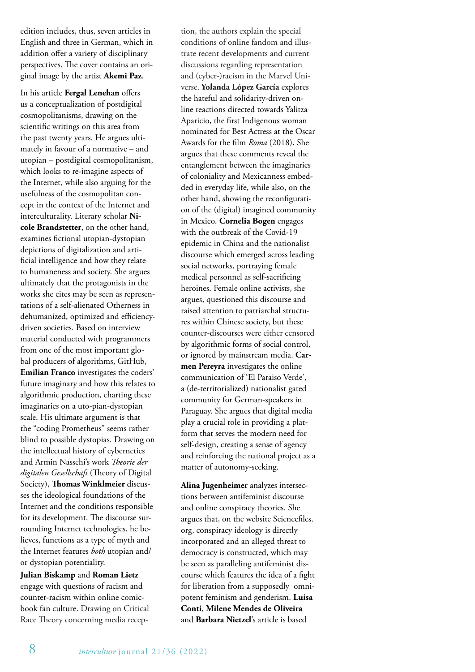edition includes, thus, seven articles in English and three in German, which in addition offer a variety of disciplinary perspectives. The cover contains an original image by the artist **Akemi Paz**.

In his article **Fergal Lenehan** offers us a conceptualization of postdigital cosmopolitanisms, drawing on the scientific writings on this area from the past twenty years. He argues ultimately in favour of a normative – and utopian – postdigital cosmopolitanism, which looks to re-imagine aspects of the Internet, while also arguing for the usefulness of the cosmopolitan concept in the context of the Internet and interculturality. Literary scholar **Nicole Brandstetter**, on the other hand, examines fictional utopian-dystopian depictions of digitalization and artificial intelligence and how they relate to humaneness and society. She argues ultimately that the protagonists in the works she cites may be seen as representations of a self-alienated Otherness in dehumanized, optimized and efficiencydriven societies. Based on interview material conducted with programmers from one of the most important global producers of algorithms, GitHub, **Emilian Franco** investigates the coders' future imaginary and how this relates to algorithmic production, charting these imaginaries on a uto-pian-dystopian scale. His ultimate argument is that the "coding Prometheus" seems rather blind to possible dystopias. Drawing on the intellectual history of cybernetics and Armin Nassehi's work *Theorie der digitalen Gesellschaft* (Theory of Digital Society), **Thomas Winklmeier** discusses the ideological foundations of the Internet and the conditions responsible for its development. The discourse surrounding Internet technologies, he believes, functions as a type of myth and the Internet features *both* utopian and/ or dystopian potentiality.

**Julian Biskamp** and **Roman Lietz** engage with questions of racism and counter-racism within online comicbook fan culture. Drawing on Critical Race Theory concerning media reception, the authors explain the special conditions of online fandom and illustrate recent developments and current discussions regarding representation and (cyber-)racism in the Marvel Universe. **Yolanda López García** explores the hateful and solidarity-driven online reactions directed towards Yalitza Aparicio, the first Indigenous woman nominated for Best Actress at the Oscar Awards for the film *Roma* (2018)**.** She argues that these comments reveal the entanglement between the imaginaries of coloniality and Mexicanness embedded in everyday life, while also, on the other hand, showing the reconfiguration of the (digital) imagined community in Mexico. **Cornelia Bogen** engages with the outbreak of the Covid-19 epidemic in China and the nationalist discourse which emerged across leading social networks, portraying female medical personnel as self-sacrificing heroines. Female online activists, she argues, questioned this discourse and raised attention to patriarchal structures within Chinese society, but these counter-discourses were either censored by algorithmic forms of social control, or ignored by mainstream media. **Carmen Pereyra** investigates the online communication of 'El Paraiso Verde', a (de-territorialized) nationalist gated community for German-speakers in Paraguay. She argues that digital media play a crucial role in providing a platform that serves the modern need for self-design, creating a sense of agency and reinforcing the national project as a matter of autonomy-seeking.

**Alina Jugenheimer** analyzes intersections between antifeminist discourse and online conspiracy theories. She argues that, on the website Sciencefiles. org, conspiracy ideology is directly incorporated and an alleged threat to democracy is constructed, which may be seen as paralleling antifeminist discourse which features the idea of a fight for liberation from a supposedly omnipotent feminism and genderism. **Luisa Conti**, **Milene Mendes de Oliveira** and **Barbara Nietzel**'s article is based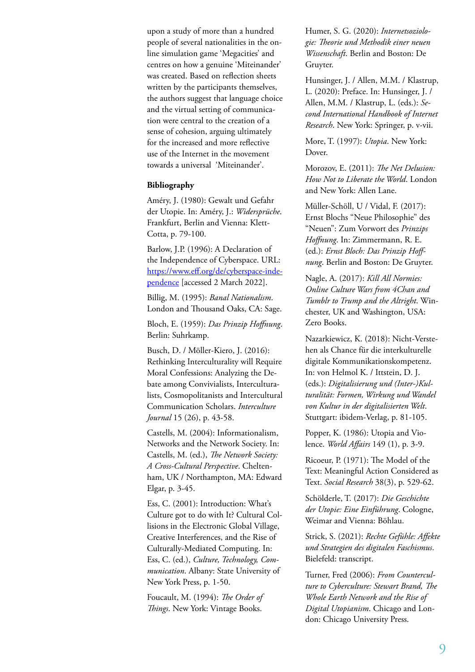upon a study of more than a hundred people of several nationalities in the online simulation game 'Megacities' and centres on how a genuine 'Miteinander' was created. Based on reflection sheets written by the participants themselves, the authors suggest that language choice and the virtual setting of communication were central to the creation of a sense of cohesion, arguing ultimately for the increased and more reflective use of the Internet in the movement towards a universal 'Miteinander'.

#### **Bibliography**

Améry, J. (1980): Gewalt und Gefahr der Utopie. In: Améry, J.: *Widersprüche*. Frankfurt, Berlin and Vienna: Klett-Cotta, p. 79-100.

Barlow, J.P. (1996): A Declaration of the Independence of Cyberspace. URL: https://www.eff.org/de/cyberspace-independence [accessed 2 March 2022].

Billig, M. (1995): *Banal Nationalism*. London and Thousand Oaks, CA: Sage.

Bloch, E. (1959): *Das Prinzip Hoffnung*. Berlin: Suhrkamp.

Busch, D. / Möller-Kiero, J. (2016): Rethinking Interculturality will Require Moral Confessions: Analyzing the Debate among Convivialists, Interculturalists, Cosmopolitanists and Intercultural Communication Scholars. *Interculture Journal* 15 (26), p. 43-58.

Castells, M. (2004): Informationalism, Networks and the Network Society. In: Castells, M. (ed.), *The Network Society: A Cross-Cultural Perspective*. Cheltenham, UK / Northampton, MA: Edward Elgar, p. 3-45.

Ess, C. (2001): Introduction: What's Culture got to do with It? Cultural Collisions in the Electronic Global Village, Creative Interferences, and the Rise of Culturally-Mediated Computing. In: Ess, C. (ed.), *Culture, Technology, Communication*. Albany: State University of New York Press, p. 1-50.

Foucault, M. (1994): *The Order of Things*. New York: Vintage Books.

Humer, S. G. (2020): *Internetsoziologie: Theorie und Methodik einer neuen Wissenschaft*. Berlin and Boston: De Gruyter.

Hunsinger, J. / Allen, M.M. / Klastrup, L. (2020): Preface. In: Hunsinger, J. / Allen, M.M. / Klastrup, L. (eds.): *Second International Handbook of Internet Research*. New York: Springer, p. v-vii.

More, T. (1997): *Utopia*. New York: Dover.

Morozov, E. (2011): *The Net Delusion: How Not to Liberate the World*. London and New York: Allen Lane.

Müller-Schöll, U / Vidal, F. (2017): Ernst Blochs "Neue Philosophie" des "Neuen": Zum Vorwort des *Prinzips Hoffnung*. In: Zimmermann, R. E. (ed.): *Ernst Bloch: Das Prinzip Hoffnung*. Berlin and Boston: De Gruyter.

Nagle, A. (2017): *Kill All Normies: Online Culture Wars from 4Chan and Tumblr to Trump and the Altright*. Winchester, UK and Washington, USA: Zero Books.

Nazarkiewicz, K. (2018): Nicht-Verstehen als Chance für die interkulturelle digitale Kommunikationskompetenz. In: von Helmol K. / Ittstein, D. J. (eds.): *Digitalisierung und (Inter-)Kulturalität: Formen, Wirkung und Wandel von Kultur in der digitalisierten Welt*. Stuttgart: ibidem-Verlag, p. 81-105.

Popper, K. (1986): Utopia and Violence. *World Affairs* 149 (1), p. 3-9.

Ricoeur, P. (1971): The Model of the Text: Meaningful Action Considered as Text. *Social Research* 38(3), p. 529-62.

Schölderle, T. (2017): *Die Geschichte der Utopie: Eine Einführung*. Cologne, Weimar and Vienna: Böhlau.

Strick, S. (2021): *Rechte Gefühle: Affekte und Strategien des digitalen Faschismus*. Bielefeld: transcript.

Turner, Fred (2006): *From Counterculture to Cyberculture: Stewart Brand, The Whole Earth Network and the Rise of Digital Utopianism*. Chicago and London: Chicago University Press.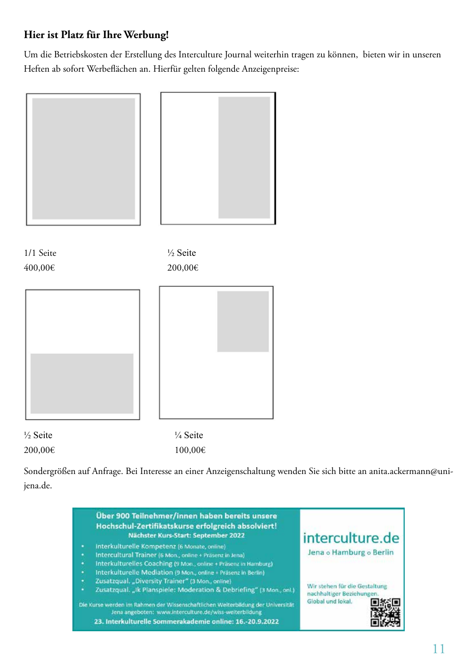### **Hier ist Platz für Ihre Werbung!**

Um die Betriebskosten der Erstellung des Interculture Journal weiterhin tragen zu können, bieten wir in unseren Heften ab sofort Werbeflächen an. Hierfür gelten folgende Anzeigenpreise:



Sondergrößen auf Anfrage. Bei Interesse an einer Anzeigenschaltung wenden Sie sich bitte an anita.ackermann@unijena.de.